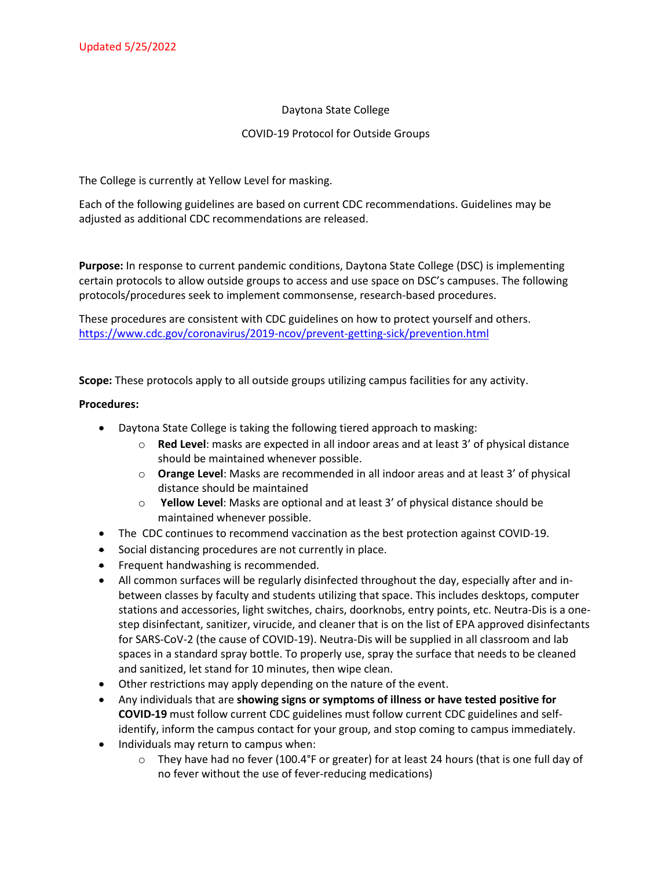## Daytona State College

## COVID-19 Protocol for Outside Groups

The College is currently at Yellow Level for masking.

Each of the following guidelines are based on current CDC recommendations. Guidelines may be adjusted as additional CDC recommendations are released.

**Purpose:** In response to current pandemic conditions, Daytona State College (DSC) is implementing certain protocols to allow outside groups to access and use space on DSC's campuses. The following protocols/procedures seek to implement commonsense, research-based procedures.

These procedures are consistent with CDC guidelines on how to protect yourself and others. <https://www.cdc.gov/coronavirus/2019-ncov/prevent-getting-sick/prevention.html>

**Scope:** These protocols apply to all outside groups utilizing campus facilities for any activity.

## **Procedures:**

- Daytona State College is taking the following tiered approach to masking:
	- o **Red Level**: masks are expected in all indoor areas and at least 3' of physical distance should be maintained whenever possible.
	- o **Orange Level**: Masks are recommended in all indoor areas and at least 3' of physical distance should be maintained
	- o **Yellow Level**: Masks are optional and at least 3' of physical distance should be maintained whenever possible.
- The CDC continues to recommend vaccination as the best protection against COVID-19.
- Social distancing procedures are not currently in place.
- Frequent handwashing is recommended.
- All common surfaces will be regularly disinfected throughout the day, especially after and inbetween classes by faculty and students utilizing that space. This includes desktops, computer stations and accessories, light switches, chairs, doorknobs, entry points, etc. Neutra-Dis is a onestep disinfectant, sanitizer, virucide, and cleaner that is on the list of EPA approved disinfectants for SARS-CoV-2 (the cause of COVID-19). Neutra-Dis will be supplied in all classroom and lab spaces in a standard spray bottle. To properly use, spray the surface that needs to be cleaned and sanitized, let stand for 10 minutes, then wipe clean.
- Other restrictions may apply depending on the nature of the event.
- Any individuals that are **showing signs or symptoms of illness or have tested positive for COVID-19** must follow current CDC guidelines must follow current CDC guidelines and selfidentify, inform the campus contact for your group, and stop coming to campus immediately.
- Individuals may return to campus when:
	- $\circ$  They have had no fever (100.4°F or greater) for at least 24 hours (that is one full day of no fever without the use of fever-reducing medications)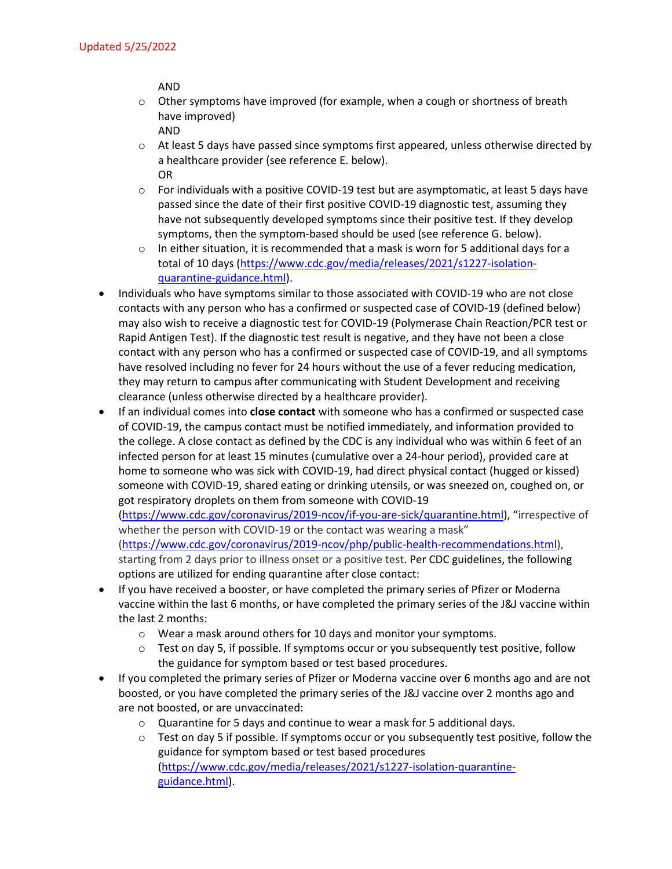AND

- $\circ$  Other symptoms have improved (for example, when a cough or shortness of breath have improved)
	- AND
- $\circ$  At least 5 days have passed since symptoms first appeared, unless otherwise directed by a healthcare provider (see reference E. below). OR
- o For individuals with a positive COVID-19 test but are asymptomatic, at least 5 days have passed since the date of their first positive COVID-19 diagnostic test, assuming they have not subsequently developed symptoms since their positive test. If they develop symptoms, then the symptom-based should be used (see reference G. below).
- $\circ$  In either situation, it is recommended that a mask is worn for 5 additional days for a total of 10 days [\(https://www.cdc.gov/media/releases/2021/s1227-isolation](https://www.cdc.gov/media/releases/2021/s1227-isolation-quarantine-guidance.html)[quarantine-guidance.html\)](https://www.cdc.gov/media/releases/2021/s1227-isolation-quarantine-guidance.html).
- Individuals who have symptoms similar to those associated with COVID-19 who are not close contacts with any person who has a confirmed or suspected case of COVID-19 (defined below) may also wish to receive a diagnostic test for COVID-19 (Polymerase Chain Reaction/PCR test or Rapid Antigen Test). If the diagnostic test result is negative, and they have not been a close contact with any person who has a confirmed or suspected case of COVID-19, and all symptoms have resolved including no fever for 24 hours without the use of a fever reducing medication, they may return to campus after communicating with Student Development and receiving clearance (unless otherwise directed by a healthcare provider).
- If an individual comes into **close contact** with someone who has a confirmed or suspected case of COVID-19, the campus contact must be notified immediately, and information provided to the college. A close contact as defined by the CDC is any individual who was within 6 feet of an infected person for at least 15 minutes (cumulative over a 24-hour period), provided care at home to someone who was sick with COVID-19, had direct physical contact (hugged or kissed) someone with COVID-19, shared eating or drinking utensils, or was sneezed on, coughed on, or got respiratory droplets on them from someone with COVID-19 [\(https://www.cdc.gov/coronavirus/2019-ncov/if-you-are-sick/quarantine.html\)](https://www.cdc.gov/coronavirus/2019-ncov/if-you-are-sick/quarantine.html), "irrespective of whether the person with COVID-19 or the contact was wearing a mask"

[\(https://www.cdc.gov/coronavirus/2019-ncov/php/public-health-recommendations.html\)](https://www.cdc.gov/coronavirus/2019-ncov/php/public-health-recommendations.html), starting from 2 days prior to illness onset or a positive test. Per CDC guidelines, the following options are utilized for ending quarantine after close contact:

- If you have received a booster, or have completed the primary series of Pfizer or Moderna vaccine within the last 6 months, or have completed the primary series of the J&J vaccine within the last 2 months:
	- o Wear a mask around others for 10 days and monitor your symptoms.
	- $\circ$  Test on day 5, if possible. If symptoms occur or you subsequently test positive, follow the guidance for symptom based or test based procedures.
- If you completed the primary series of Pfizer or Moderna vaccine over 6 months ago and are not boosted, or you have completed the primary series of the J&J vaccine over 2 months ago and are not boosted, or are unvaccinated:
	- o Quarantine for 5 days and continue to wear a mask for 5 additional days.
	- $\circ$  Test on day 5 if possible. If symptoms occur or you subsequently test positive, follow the guidance for symptom based or test based procedures [\(https://www.cdc.gov/media/releases/2021/s1227-isolation-quarantine](https://www.cdc.gov/media/releases/2021/s1227-isolation-quarantine-guidance.html)[guidance.html\)](https://www.cdc.gov/media/releases/2021/s1227-isolation-quarantine-guidance.html).